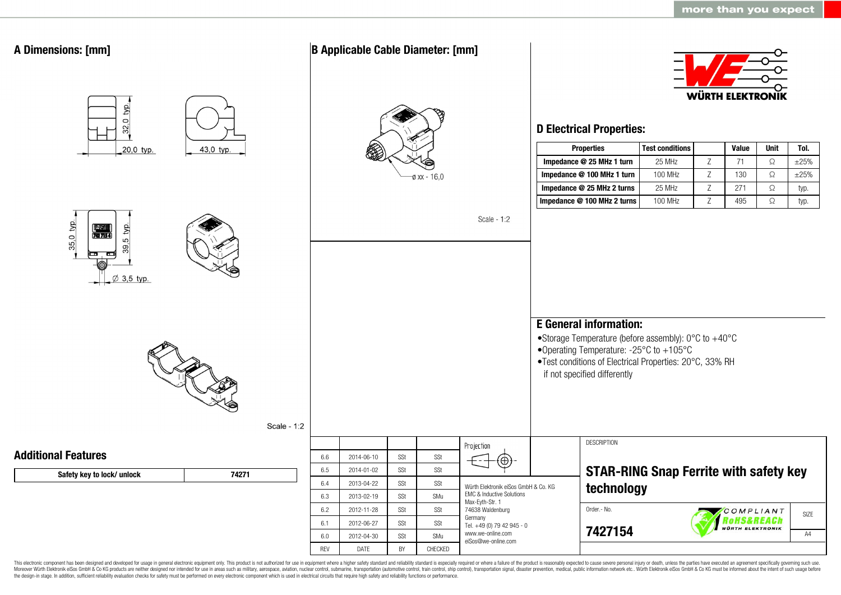

This electronic component has been designed and developed for usage in general electronic equipment only. This product is not authorized for use in equipment where a higher safety standard and reliability standard is espec Moreover Würth Elektronik eiSos GmbH & Co KG products are neither designed nor intended for use in areas such as military, aerospace, aviation, nuclear control, submarine, transportation (automotive control, ship control), the design-in stage. In addition, sufficient reliability evaluation checks for safety must be performed on every electronic component which is used in electrical circuits that require high safety and reliability functions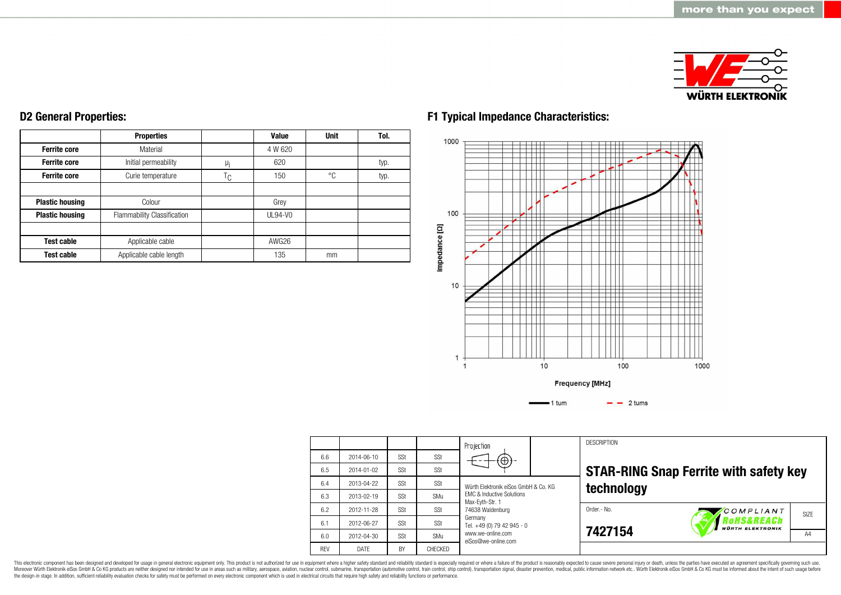

#### **Ferrite core Ferrite core Ferrite core Plastic housing Plastic housing Test cable Test cable Properties** Material Initial permeability Curie temperature Colour Flammability Classification Applicable cable Applicable cable length  $\mu$ <sub>i</sub>  $T_{C}$ **Value** 4 W 620 620 150 Grey UL94-V0 AWG26 135 **Unit** °C mm **Tol.** typ. typ.

**D2 General Properties:**

# **F1 Typical Impedance Characteristics:**



|            |            |     |         | Projection                                                                                                          |         | <b>DESCRIPTION</b>                            |                                       |      |
|------------|------------|-----|---------|---------------------------------------------------------------------------------------------------------------------|---------|-----------------------------------------------|---------------------------------------|------|
| 6.6        | 2014-06-10 | SSt | SSt     | $\Theta$                                                                                                            |         |                                               |                                       |      |
| 6.5        | 2014-01-02 | SSt | SSt     |                                                                                                                     |         | <b>STAR-RING Snap Ferrite with safety key</b> |                                       |      |
| 6.4        | 2013-04-22 | SSt | SSt     | Würth Elektronik eiSos GmbH & Co. KG<br><b>EMC &amp; Inductive Solutions</b><br>Max-Evth-Str. 1<br>74638 Waldenburg |         | technology                                    |                                       |      |
| 6.3        | 2013-02-19 | SSt | SMu     |                                                                                                                     |         |                                               |                                       |      |
| 6.2        | 2012-11-28 | SSt | SSt     |                                                                                                                     |         | Order .- No.                                  | COMPLIANT                             | SIZE |
| 6.1        | 2012-06-27 | SSt | SSt     | Germany<br>Tel. +49 (0) 79 42 945 - 0                                                                               |         |                                               | RoHS&REACh<br><b>WÜRTH ELEKTRONIK</b> |      |
| 6.0        | 2012-04-30 | SSt | SMu     | www.we-online.com<br>eiSos@we-online.com                                                                            | 7427154 |                                               | A4                                    |      |
| <b>RFV</b> | DATE       | BY  | CHECKED |                                                                                                                     |         |                                               |                                       |      |

This electronic component has been designed and developed for usage in general electronic equipment only. This product is not authorized for use in equipment where a higher safety standard and reliability standard is espec Moreover Würth Elektronik eiSos GmbH & Co KG products are neither designed nor intended for use in areas such as military, aerospace, aviation, nuclear control, submarine, transportation (automotive control), stain control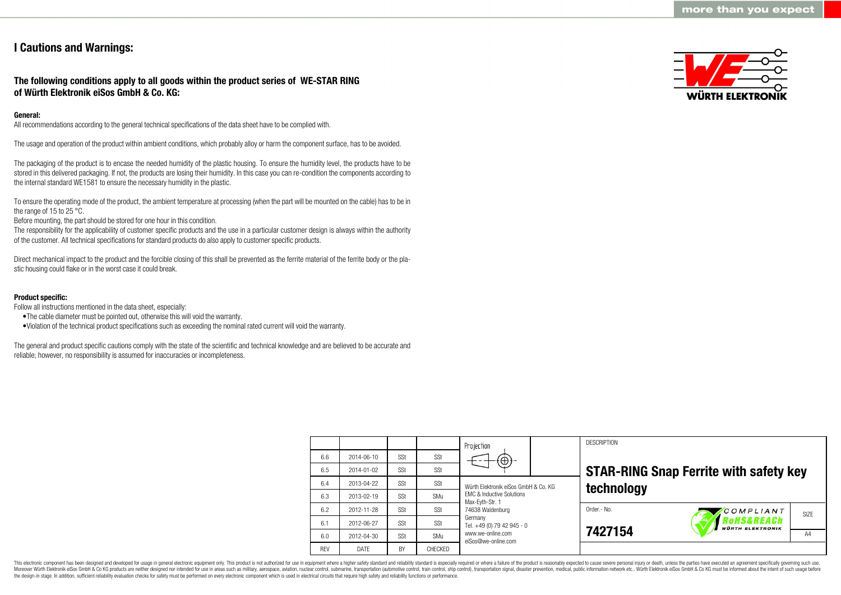## **I Cautions and Warnings:**

## **The following conditions apply to all goods within the product series of WE-STAR RING of Würth Elektronik eiSos GmbH & Co. KG:**

## **General:**

All recommendations according to the general technical specifications of the data sheet have to be complied with.

The usage and operation of the product within ambient conditions, which probably alloy or harm the component surface, has to be avoided.

The packaging of the product is to encase the needed humidity of the plastic housing. To ensure the humidity level, the products have to be stored in this delivered packaging. If not, the products are losing their humidity. In this case you can re-condition the components according to the internal standard WE1581 to ensure the necessary humidity in the plastic.

To ensure the operating mode of the product, the ambient temperature at processing (when the part will be mounted on the cable) has to be in the range of 15 to 25 °C.

Before mounting, the part should be stored for one hour in this condition.

The responsibility for the applicability of customer specific products and the use in a particular customer design is always within the authority of the customer. All technical specifications for standard products do also apply to customer specific products.

Direct mechanical impact to the product and the forcible closing of this shall be prevented as the ferrite material of the ferrite body or the plastic housing could flake or in the worst case it could break.

### **Product specific:**

Follow all instructions mentioned in the data sheet, especially:

- •The cable diameter must be pointed out, otherwise this will void the warranty.
- •Violation of the technical product specifications such as exceeding the nominal rated current will void the warranty.

The general and product specific cautions comply with the state of the scientific and technical knowledge and are believed to be accurate and reliable; however, no responsibility is assumed for inaccuracies or incompleteness.

|            |            |           |                | Projection                                                                                                          |  | <b>DESCRIPTION</b> |                                               |      |
|------------|------------|-----------|----------------|---------------------------------------------------------------------------------------------------------------------|--|--------------------|-----------------------------------------------|------|
| 6.6        | 2014-06-10 | SSt       | SSt            | $^\mathrm{( \oplus)}$                                                                                               |  |                    |                                               |      |
| 6.5        | 2014-01-02 | SSt       | SSt            |                                                                                                                     |  |                    | <b>STAR-RING Snap Ferrite with safety key</b> |      |
| 6.4        | 2013-04-22 | SSt       | SSt            | Würth Elektronik eiSos GmbH & Co. KG<br><b>FMC &amp; Inductive Solutions</b><br>Max-Evth-Str. 1<br>74638 Waldenburg |  | technology         |                                               |      |
| 6.3        | 2013-02-19 | SSt       | SMu            |                                                                                                                     |  |                    |                                               |      |
| 6.2        | 2012-11-28 | SSt       | SSt            |                                                                                                                     |  | Order .- No.       | COMPLIANT                                     | SIZE |
| 6.1        | 2012-06-27 | SSt       | SSt            | Germany<br>Tel. +49 (0) 79 42 945 - 0                                                                               |  | 7427154            | Rohs&REACh<br><b>WÜRTH ELEKTRONIK</b>         |      |
| 6.0        | 2012-04-30 | SSt       | SMu            | www.we-online.com<br>eiSos@we-online.com                                                                            |  |                    |                                               | A4   |
| <b>RFV</b> | DATE       | <b>BY</b> | <b>CHECKED</b> |                                                                                                                     |  |                    |                                               |      |

This electronic component has been designed and developed for usage in general electronic equipment only. This product is not authorized for use in equipment where a higher safety standard and reliability standard is espec Moreover Würth Elektronik eiSos GmbH & Co KG products are neither designed nor intended for use in areas such as military, aerospace, aviation, nuclear control, submarine, transportation (automotive control), tain control) the design-in stage. In addition, sufficient reliability evaluation checks for safety must be performed on every electronic component which is used in electrical circuits that require high safety and reliability functions